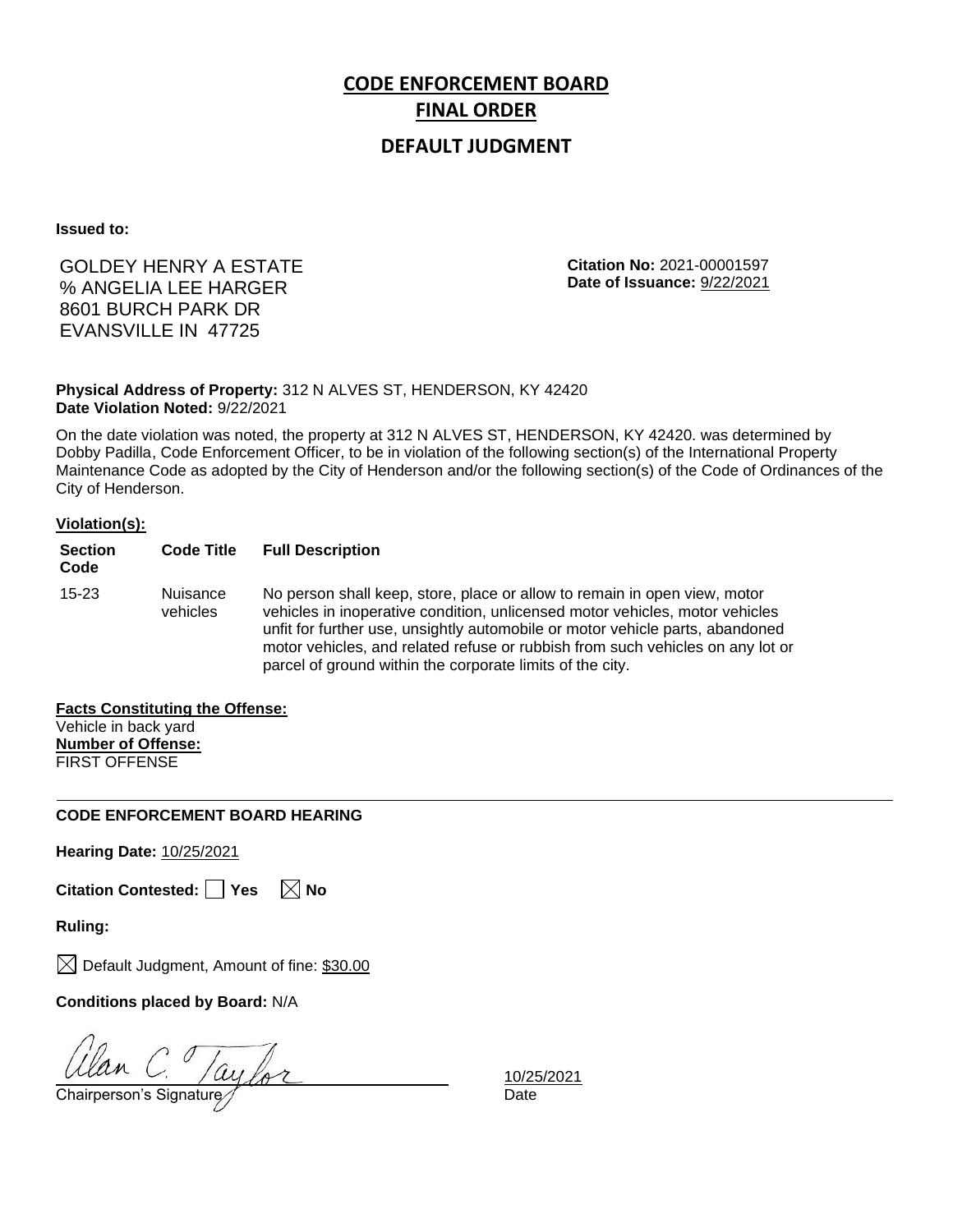## **DEFAULT JUDGMENT**

**Issued to:**

# GOLDEY HENRY A ESTATE % ANGELIA LEE HARGER 8601 BURCH PARK DR EVANSVILLE IN 47725

**Citation No:** 2021-00001597 **Date of Issuance:** 9/22/2021

### **Physical Address of Property:** 312 N ALVES ST, HENDERSON, KY 42420 **Date Violation Noted:** 9/22/2021

On the date violation was noted, the property at 312 N ALVES ST, HENDERSON, KY 42420. was determined by Dobby Padilla, Code Enforcement Officer, to be in violation of the following section(s) of the International Property Maintenance Code as adopted by the City of Henderson and/or the following section(s) of the Code of Ordinances of the City of Henderson.

### **Violation(s):**

| <b>Section</b><br>Code | <b>Code Title</b>    | <b>Full Description</b>                                                                                                                                                                                                                                                                                                                                                                   |
|------------------------|----------------------|-------------------------------------------------------------------------------------------------------------------------------------------------------------------------------------------------------------------------------------------------------------------------------------------------------------------------------------------------------------------------------------------|
| $15 - 23$              | Nuisance<br>vehicles | No person shall keep, store, place or allow to remain in open view, motor<br>vehicles in inoperative condition, unlicensed motor vehicles, motor vehicles<br>unfit for further use, unsightly automobile or motor vehicle parts, abandoned<br>motor vehicles, and related refuse or rubbish from such vehicles on any lot or<br>parcel of ground within the corporate limits of the city. |

## **Facts Constituting the Offense:**

Vehicle in back yard **Number of Offense:** FIRST OFFENSE

### **CODE ENFORCEMENT BOARD HEARING**

**Hearing Date:** 10/25/2021

|  | Citation Contested: Yes |  | $\boxtimes$ No |
|--|-------------------------|--|----------------|
|--|-------------------------|--|----------------|

**Ruling:**

 $\boxtimes$  Default Judgment, Amount of fine: \$30.00

**Conditions placed by Board:** N/A

 $\frac{U$ lan  $C_1$  /ay for 10/25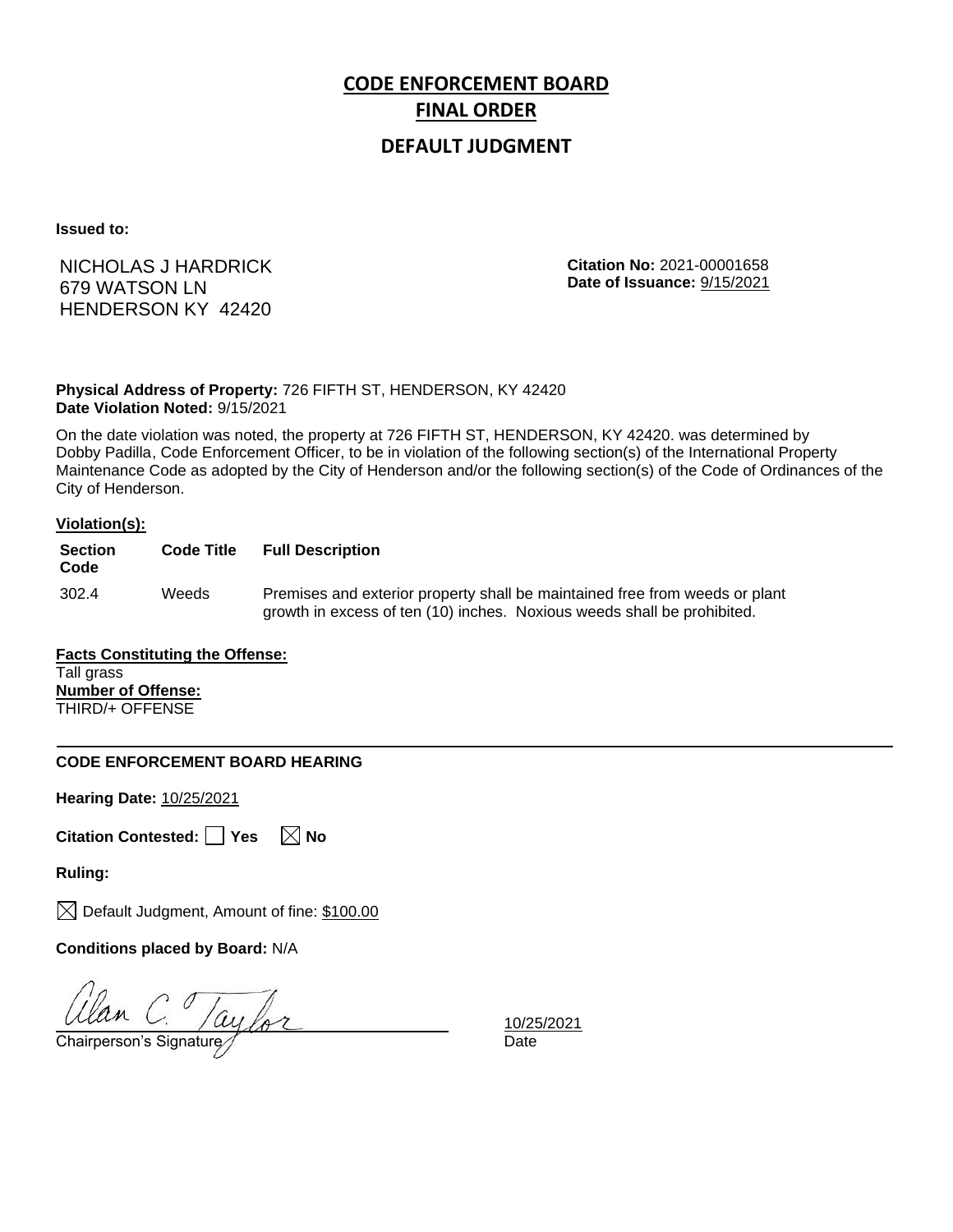## **DEFAULT JUDGMENT**

**Issued to:**

NICHOLAS J HARDRICK 679 WATSON LN HENDERSON KY 42420

**Citation No:** 2021-00001658 **Date of Issuance:** 9/15/2021

**Physical Address of Property:** 726 FIFTH ST, HENDERSON, KY 42420 **Date Violation Noted:** 9/15/2021

On the date violation was noted, the property at 726 FIFTH ST, HENDERSON, KY 42420. was determined by Dobby Padilla, Code Enforcement Officer, to be in violation of the following section(s) of the International Property Maintenance Code as adopted by the City of Henderson and/or the following section(s) of the Code of Ordinances of the City of Henderson.

### **Violation(s):**

| <b>Section</b><br>Code | <b>Code Title</b> | <b>Full Description</b>                                                                                                                                |
|------------------------|-------------------|--------------------------------------------------------------------------------------------------------------------------------------------------------|
| 302.4                  | Weeds             | Premises and exterior property shall be maintained free from weeds or plant<br>growth in excess of ten (10) inches. Noxious weeds shall be prohibited. |

**Facts Constituting the Offense:** Tall grass **Number of Offense:** THIRD/+ OFFENSE

### **CODE ENFORCEMENT BOARD HEARING**

**Hearing Date:** 10/25/2021

**Citation Contested:** Yes  $\boxtimes$  No

**Ruling:**

 $\boxtimes$  Default Judgment, Amount of fine: \$100.00

**Conditions placed by Board:** N/A

Ulan C. Taylor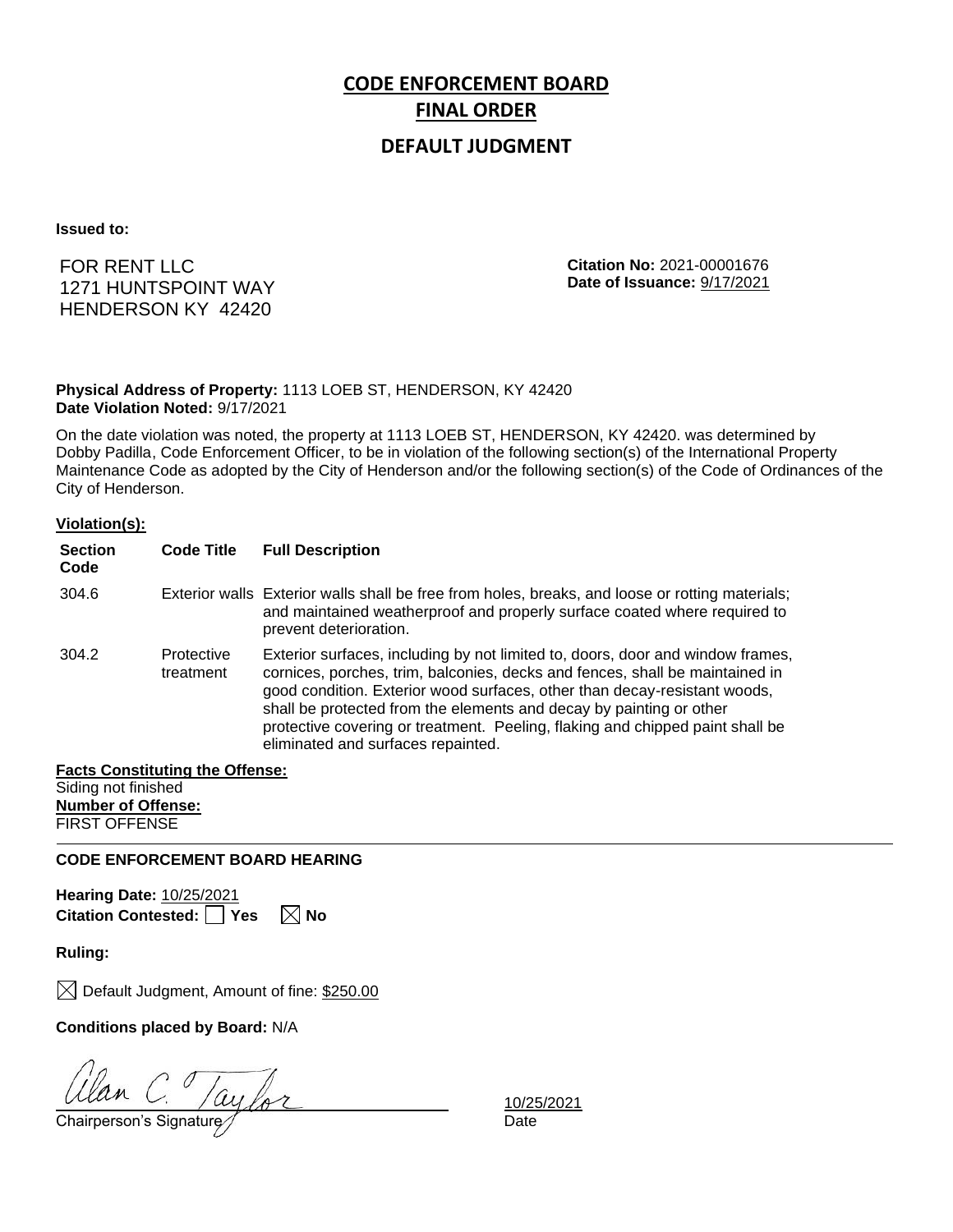## **DEFAULT JUDGMENT**

**Issued to:**

FOR RENT LLC 1271 HUNTSPOINT WAY HENDERSON KY 42420

**Citation No:** 2021-00001676 **Date of Issuance:** 9/17/2021

**Physical Address of Property:** 1113 LOEB ST, HENDERSON, KY 42420 **Date Violation Noted:** 9/17/2021

On the date violation was noted, the property at 1113 LOEB ST, HENDERSON, KY 42420. was determined by Dobby Padilla, Code Enforcement Officer, to be in violation of the following section(s) of the International Property Maintenance Code as adopted by the City of Henderson and/or the following section(s) of the Code of Ordinances of the City of Henderson.

### **Violation(s):**

| <b>Section</b><br>Code | <b>Code Title</b>       | <b>Full Description</b>                                                                                                                                                                                                                                                                                                                                                                                                                   |
|------------------------|-------------------------|-------------------------------------------------------------------------------------------------------------------------------------------------------------------------------------------------------------------------------------------------------------------------------------------------------------------------------------------------------------------------------------------------------------------------------------------|
| 304.6                  |                         | Exterior walls Exterior walls shall be free from holes, breaks, and loose or rotting materials;<br>and maintained weatherproof and properly surface coated where required to<br>prevent deterioration.                                                                                                                                                                                                                                    |
| 304.2                  | Protective<br>treatment | Exterior surfaces, including by not limited to, doors, door and window frames,<br>cornices, porches, trim, balconies, decks and fences, shall be maintained in<br>good condition. Exterior wood surfaces, other than decay-resistant woods,<br>shall be protected from the elements and decay by painting or other<br>protective covering or treatment. Peeling, flaking and chipped paint shall be<br>eliminated and surfaces repainted. |

### **Facts Constituting the Offense:** Siding not finished **Number of Offense:**

FIRST OFFENSE

### **CODE ENFORCEMENT BOARD HEARING**

**Hearing Date:** 10/25/2021 **Citation Contested:** Yes  $\boxtimes$  No

**Ruling:**

 $\boxtimes$  Default Judgment, Amount of fine: \$250.00

**Conditions placed by Board:** N/A

 $\frac{UU\alpha n}{\text{Chairperson's Signature}}$   $\frac{10/25}{\text{Date}}$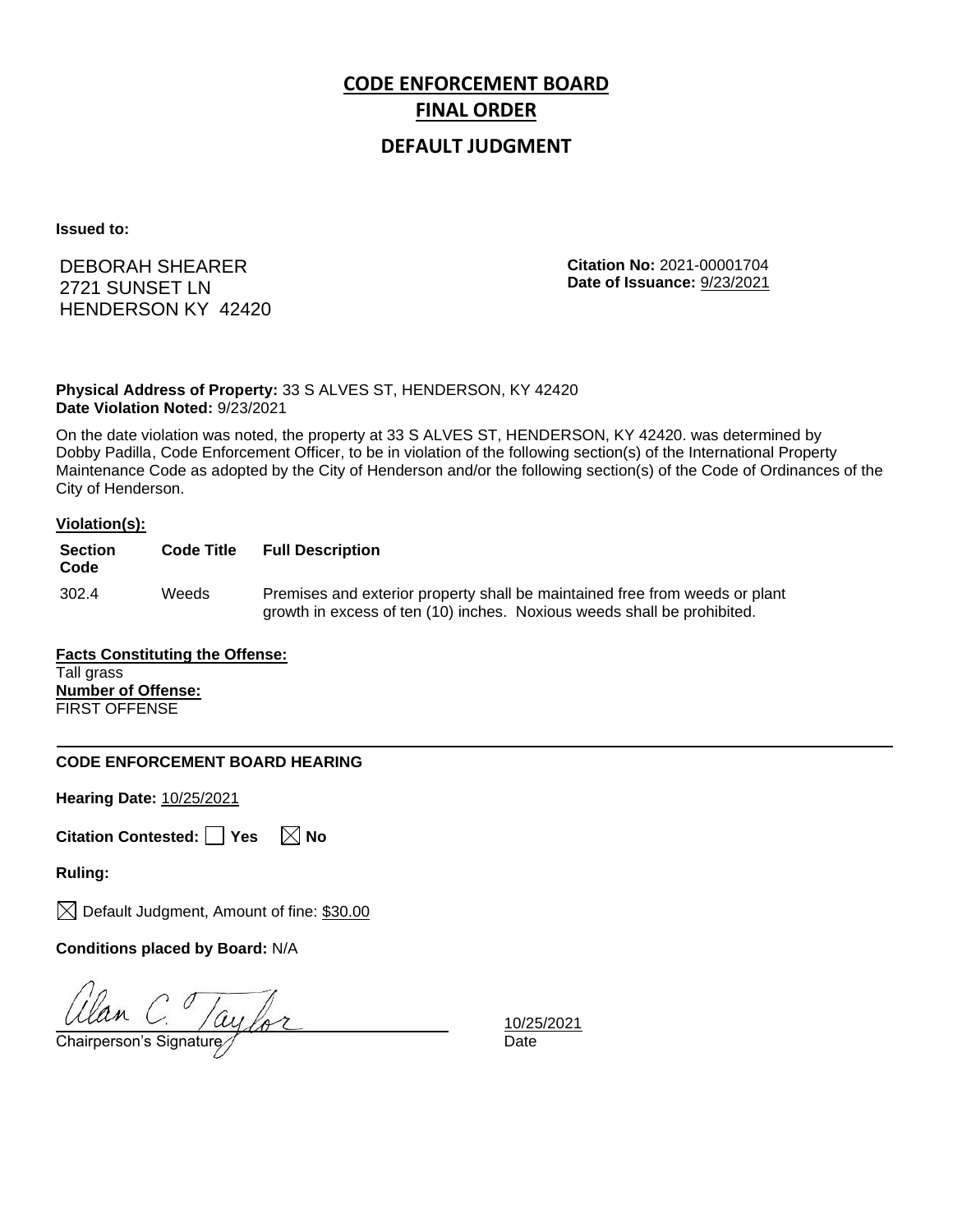## **DEFAULT JUDGMENT**

**Issued to:**

DEBORAH SHEARER 2721 SUNSET LN HENDERSON KY 42420 **Citation No:** 2021-00001704 **Date of Issuance:** 9/23/2021

**Physical Address of Property:** 33 S ALVES ST, HENDERSON, KY 42420 **Date Violation Noted:** 9/23/2021

On the date violation was noted, the property at 33 S ALVES ST, HENDERSON, KY 42420. was determined by Dobby Padilla, Code Enforcement Officer, to be in violation of the following section(s) of the International Property Maintenance Code as adopted by the City of Henderson and/or the following section(s) of the Code of Ordinances of the City of Henderson.

#### **Violation(s):**

| <b>Section</b><br>Code | <b>Code Title</b> | <b>Full Description</b>                                                                                                                                |
|------------------------|-------------------|--------------------------------------------------------------------------------------------------------------------------------------------------------|
| 302.4                  | Weeds             | Premises and exterior property shall be maintained free from weeds or plant<br>growth in excess of ten (10) inches. Noxious weeds shall be prohibited. |

**Facts Constituting the Offense:** Tall grass **Number of Offense:** FIRST OFFENSE

### **CODE ENFORCEMENT BOARD HEARING**

**Hearing Date:** 10/25/2021

| Citation Contested:   Yes |  |  | $\boxtimes$ No |
|---------------------------|--|--|----------------|
|---------------------------|--|--|----------------|

**Ruling:**

 $\boxtimes$  Default Judgment, Amount of fine: \$30.00

**Conditions placed by Board:** N/A

Ulan C. Taylor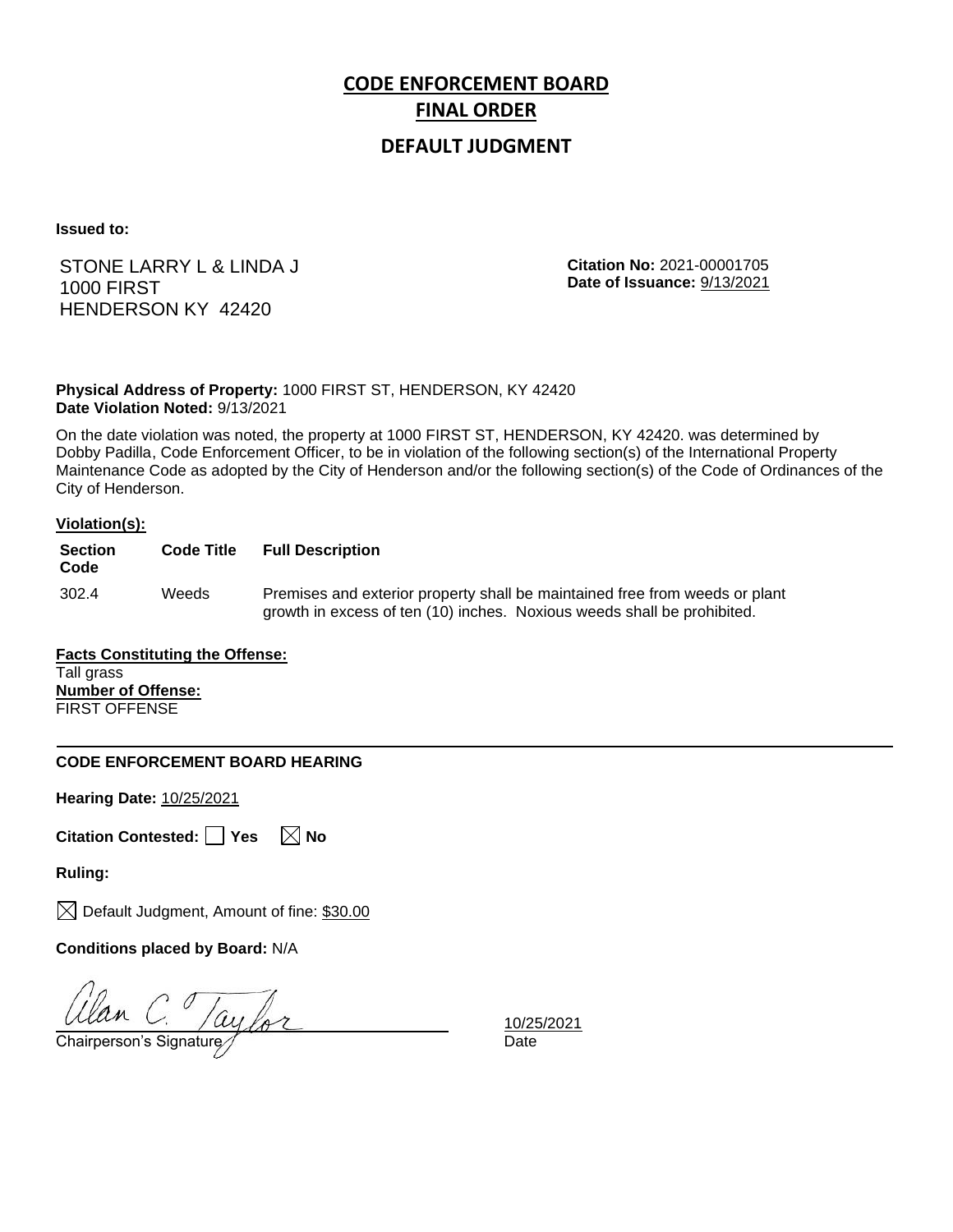## **DEFAULT JUDGMENT**

**Issued to:**

STONE LARRY L & LINDA J 1000 FIRST HENDERSON KY 42420

**Citation No:** 2021-00001705 **Date of Issuance:** 9/13/2021

**Physical Address of Property:** 1000 FIRST ST, HENDERSON, KY 42420 **Date Violation Noted:** 9/13/2021

On the date violation was noted, the property at 1000 FIRST ST, HENDERSON, KY 42420. was determined by Dobby Padilla, Code Enforcement Officer, to be in violation of the following section(s) of the International Property Maintenance Code as adopted by the City of Henderson and/or the following section(s) of the Code of Ordinances of the City of Henderson.

### **Violation(s):**

| <b>Section</b><br>Code | <b>Code Title</b> | <b>Full Description</b>                                                                                                                                |
|------------------------|-------------------|--------------------------------------------------------------------------------------------------------------------------------------------------------|
| 302.4                  | Weeds             | Premises and exterior property shall be maintained free from weeds or plant<br>growth in excess of ten (10) inches. Noxious weeds shall be prohibited. |

**Facts Constituting the Offense:** Tall grass **Number of Offense:** FIRST OFFENSE

### **CODE ENFORCEMENT BOARD HEARING**

**Hearing Date:** 10/25/2021

**Citation Contested:** Yes  $\boxtimes$  No

**Ruling:**

 $\boxtimes$  Default Judgment, Amount of fine: \$30.00

**Conditions placed by Board:** N/A

Ulan C. Taylor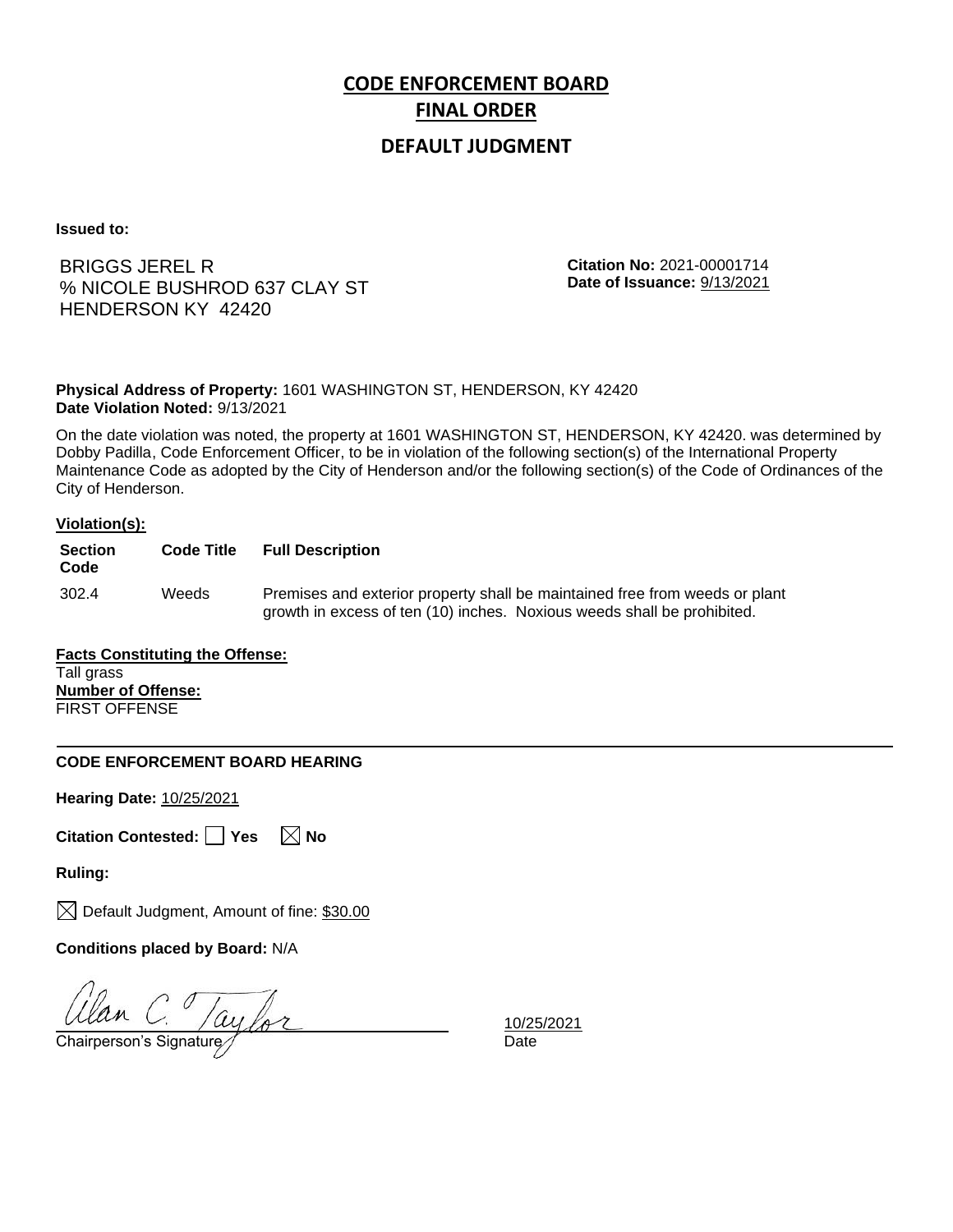## **DEFAULT JUDGMENT**

**Issued to:**

## BRIGGS JEREL R % NICOLE BUSHROD 637 CLAY ST HENDERSON KY 42420

**Citation No:** 2021-00001714 **Date of Issuance:** 9/13/2021

**Physical Address of Property:** 1601 WASHINGTON ST, HENDERSON, KY 42420 **Date Violation Noted:** 9/13/2021

On the date violation was noted, the property at 1601 WASHINGTON ST, HENDERSON, KY 42420. was determined by Dobby Padilla, Code Enforcement Officer, to be in violation of the following section(s) of the International Property Maintenance Code as adopted by the City of Henderson and/or the following section(s) of the Code of Ordinances of the City of Henderson.

### **Violation(s):**

| <b>Section</b><br>Code | <b>Code Title</b> | <b>Full Description</b>                                                                                                                                |
|------------------------|-------------------|--------------------------------------------------------------------------------------------------------------------------------------------------------|
| 302.4                  | Weeds             | Premises and exterior property shall be maintained free from weeds or plant<br>growth in excess of ten (10) inches. Noxious weeds shall be prohibited. |

**Facts Constituting the Offense:** Tall grass **Number of Offense:** FIRST OFFENSE

### **CODE ENFORCEMENT BOARD HEARING**

**Hearing Date:** 10/25/2021

| Citation Contested:   Yes |  |  | $\boxtimes$ No |
|---------------------------|--|--|----------------|
|---------------------------|--|--|----------------|

**Ruling:**

 $\boxtimes$  Default Judgment, Amount of fine: \$30.00

**Conditions placed by Board:** N/A

Ulan C. /aylor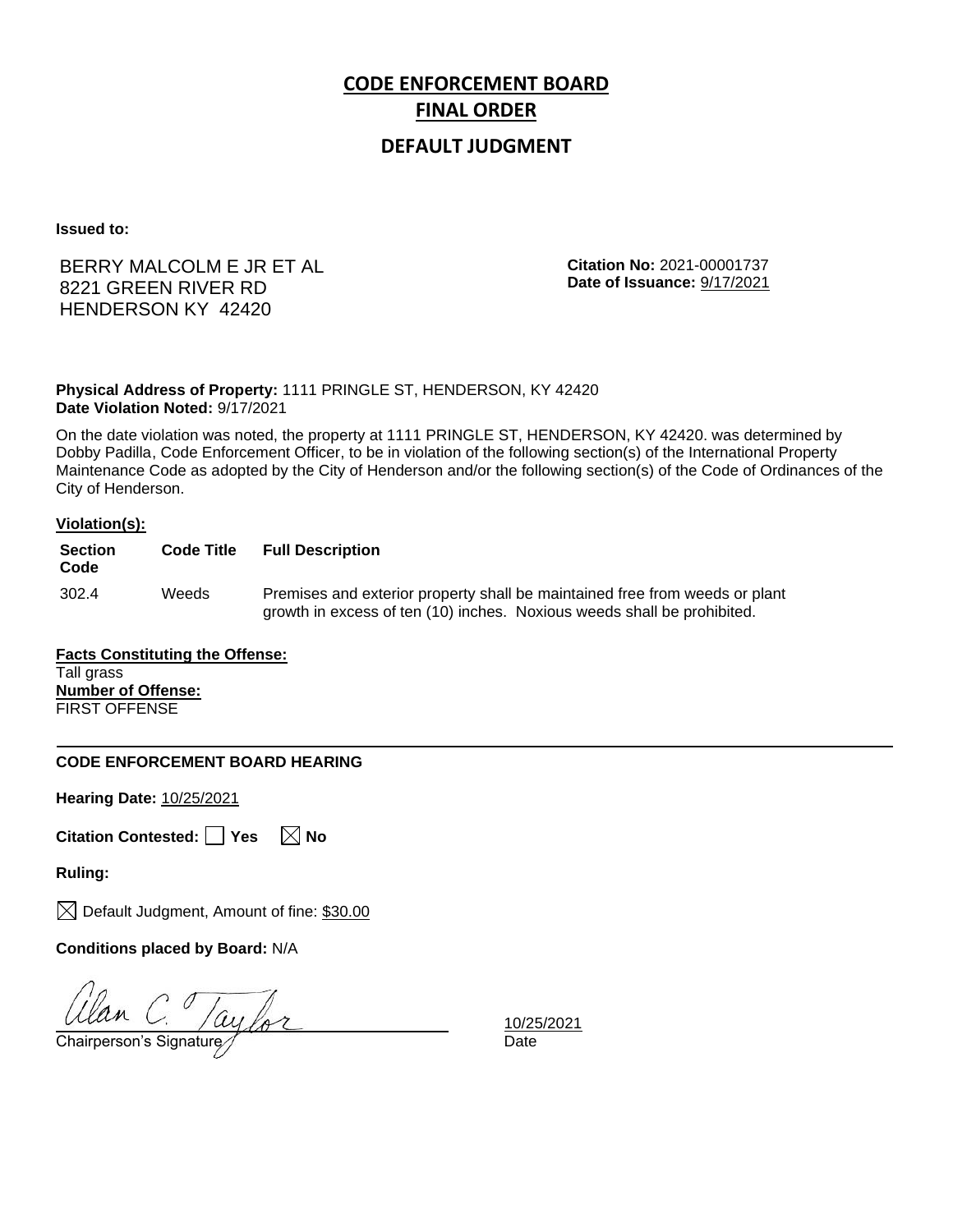## **DEFAULT JUDGMENT**

**Issued to:**

## BERRY MALCOLM E JR ET AL 8221 GREEN RIVER RD HENDERSON KY 42420

**Citation No:** 2021-00001737 **Date of Issuance:** 9/17/2021

**Physical Address of Property:** 1111 PRINGLE ST, HENDERSON, KY 42420 **Date Violation Noted:** 9/17/2021

On the date violation was noted, the property at 1111 PRINGLE ST, HENDERSON, KY 42420. was determined by Dobby Padilla, Code Enforcement Officer, to be in violation of the following section(s) of the International Property Maintenance Code as adopted by the City of Henderson and/or the following section(s) of the Code of Ordinances of the City of Henderson.

### **Violation(s):**

| <b>Section</b><br>Code | <b>Code Title</b> | <b>Full Description</b>                                                                                                                                |
|------------------------|-------------------|--------------------------------------------------------------------------------------------------------------------------------------------------------|
| 302.4                  | Weeds             | Premises and exterior property shall be maintained free from weeds or plant<br>growth in excess of ten (10) inches. Noxious weeds shall be prohibited. |

**Facts Constituting the Offense:** Tall grass **Number of Offense:** FIRST OFFENSE

### **CODE ENFORCEMENT BOARD HEARING**

**Hearing Date:** 10/25/2021

| Citation Contested:   Yes |  |  | $\boxtimes$ No |
|---------------------------|--|--|----------------|
|---------------------------|--|--|----------------|

**Ruling:**

 $\boxtimes$  Default Judgment, Amount of fine: \$30.00

**Conditions placed by Board:** N/A

Ulan C. Taylor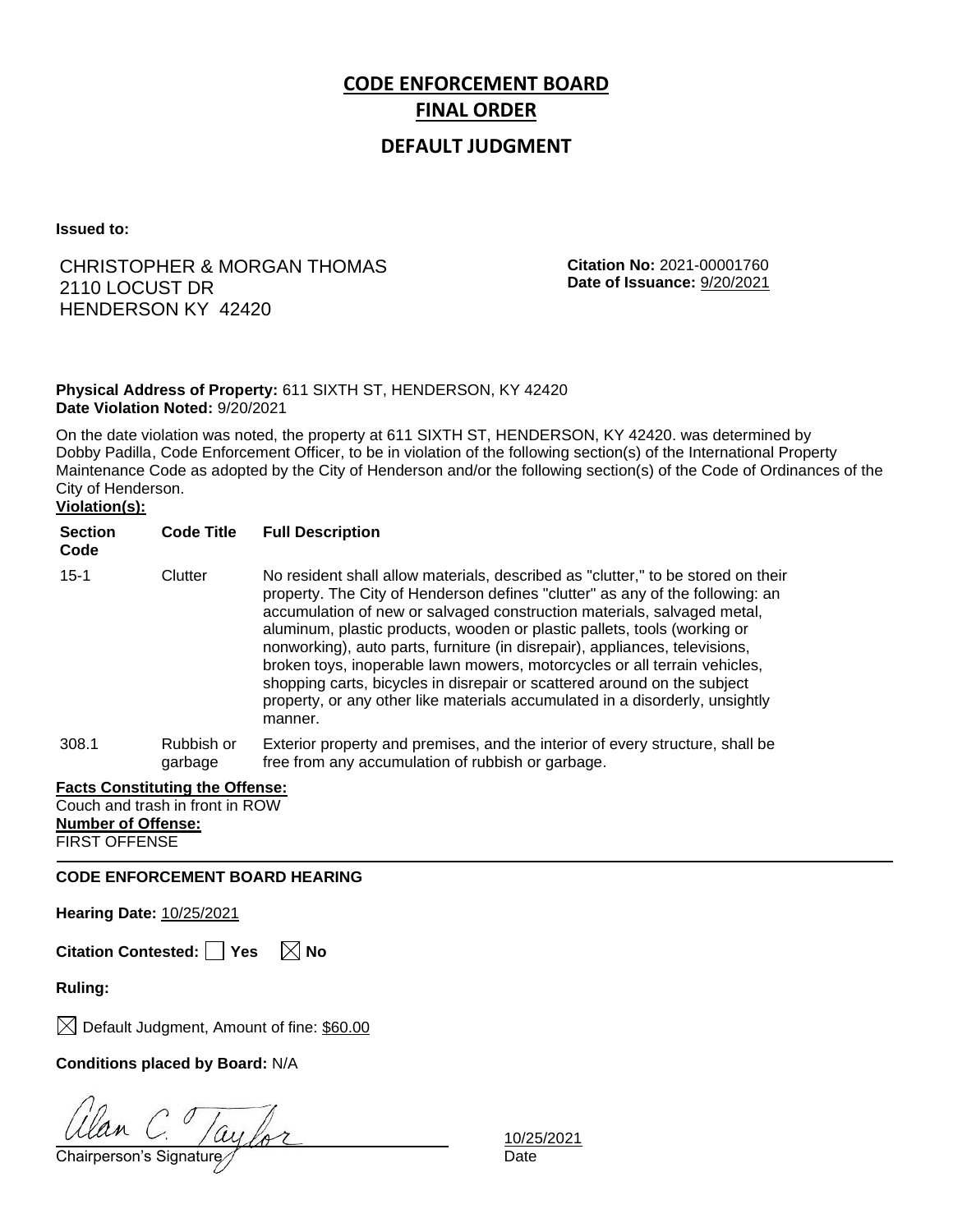## **DEFAULT JUDGMENT**

**Issued to:**

## CHRISTOPHER & MORGAN THOMAS 2110 LOCUST DR HENDERSON KY 42420

**Citation No:** 2021-00001760 **Date of Issuance:** 9/20/2021

### **Physical Address of Property:** 611 SIXTH ST, HENDERSON, KY 42420 **Date Violation Noted:** 9/20/2021

On the date violation was noted, the property at 611 SIXTH ST, HENDERSON, KY 42420. was determined by Dobby Padilla, Code Enforcement Officer, to be in violation of the following section(s) of the International Property Maintenance Code as adopted by the City of Henderson and/or the following section(s) of the Code of Ordinances of the City of Henderson.

# **Violation(s):**

| $15 - 1$ | Clutter               | No resident shall allow materials, described as "clutter," to be stored on their<br>property. The City of Henderson defines "clutter" as any of the following: an<br>accumulation of new or salvaged construction materials, salvaged metal,<br>aluminum, plastic products, wooden or plastic pallets, tools (working or<br>nonworking), auto parts, furniture (in disrepair), appliances, televisions,<br>broken toys, inoperable lawn mowers, motorcycles or all terrain vehicles,<br>shopping carts, bicycles in disrepair or scattered around on the subject<br>property, or any other like materials accumulated in a disorderly, unsightly<br>manner. |
|----------|-----------------------|-------------------------------------------------------------------------------------------------------------------------------------------------------------------------------------------------------------------------------------------------------------------------------------------------------------------------------------------------------------------------------------------------------------------------------------------------------------------------------------------------------------------------------------------------------------------------------------------------------------------------------------------------------------|
| 308.1    | Rubbish or<br>garbage | Exterior property and premises, and the interior of every structure, shall be<br>free from any accumulation of rubbish or garbage.                                                                                                                                                                                                                                                                                                                                                                                                                                                                                                                          |

#### **Facts Constituting the Offense:**

Couch and trash in front in ROW **Number of Offense:** FIRST OFFENSE

**CODE ENFORCEMENT BOARD HEARING**

**Hearing Date:** 10/25/2021

**Citation Contested:** □ Yes  $\ \ \mathbb{\times}$  No

**Ruling:**

 $\boxtimes$  Default Judgment, Amount of fine: \$60.00

## **Conditions placed by Board:** N/A

Chairperson's Signature *Date* Date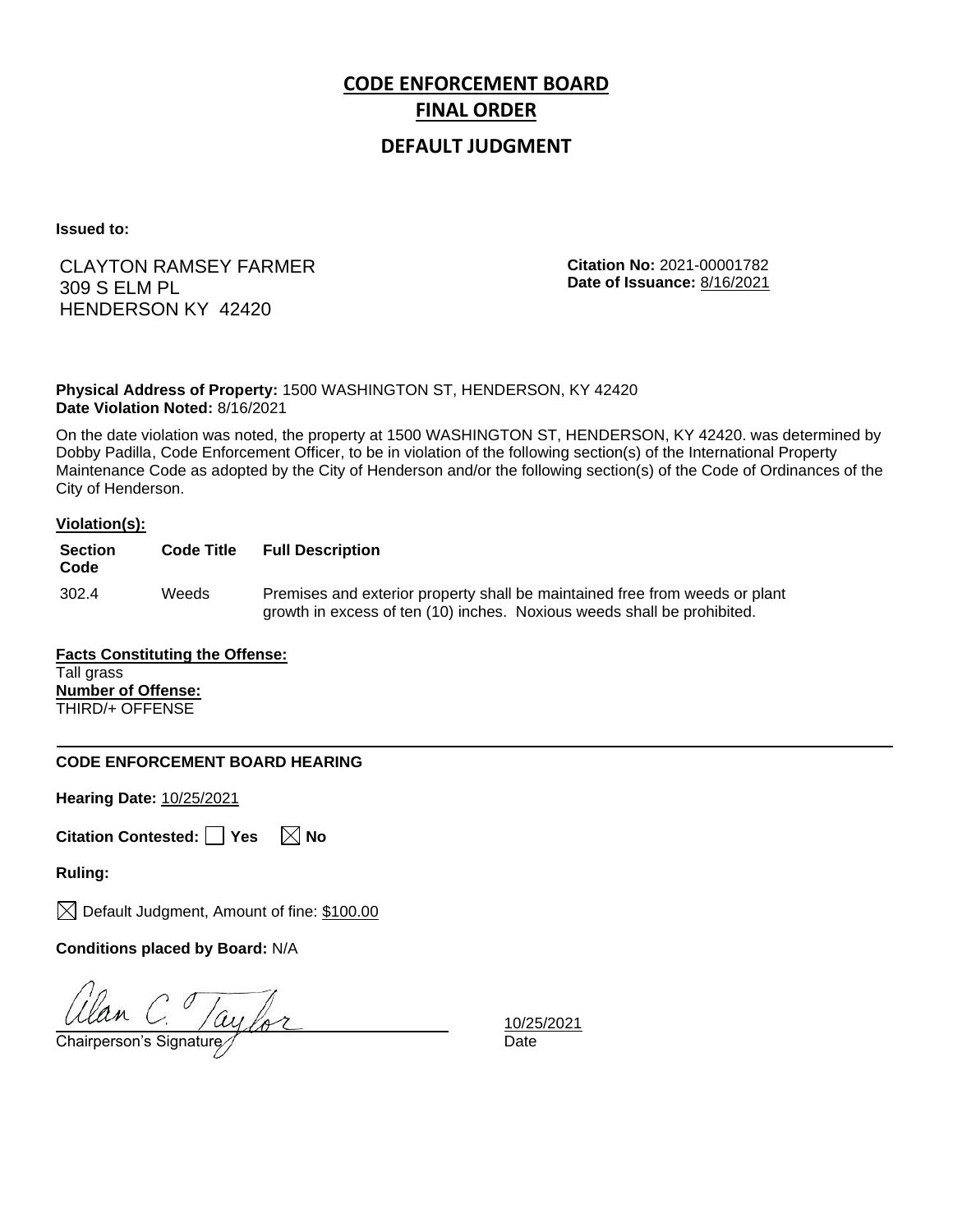## **DEFAULT JUDGMENT**

**Issued to:**

# CLAYTON RAMSEY FARMER 309 S ELM PL HENDERSON KY 42420

**Citation No:** 2021-00001782 **Date of Issuance:** 8/16/2021

**Physical Address of Property:** 1500 WASHINGTON ST, HENDERSON, KY 42420 **Date Violation Noted:** 8/16/2021

On the date violation was noted, the property at 1500 WASHINGTON ST, HENDERSON, KY 42420. was determined by Dobby Padilla, Code Enforcement Officer, to be in violation of the following section(s) of the International Property Maintenance Code as adopted by the City of Henderson and/or the following section(s) of the Code of Ordinances of the City of Henderson.

### **Violation(s):**

| <b>Section</b><br>Code | <b>Code Title</b> | <b>Full Description</b>                                                                                                                                |
|------------------------|-------------------|--------------------------------------------------------------------------------------------------------------------------------------------------------|
| 302.4                  | Weeds             | Premises and exterior property shall be maintained free from weeds or plant<br>growth in excess of ten (10) inches. Noxious weeds shall be prohibited. |

**Facts Constituting the Offense:** Tall grass **Number of Offense:** THIRD/+ OFFENSE

### **CODE ENFORCEMENT BOARD HEARING**

**Hearing Date:** 10/25/2021

|  | Citation Contested: Yes |  |  | $\boxtimes$ No |  |
|--|-------------------------|--|--|----------------|--|
|--|-------------------------|--|--|----------------|--|

**Ruling:**

 $\boxtimes$  Default Judgment, Amount of fine: \$100.00

**Conditions placed by Board:** N/A

Ulan C. Jaylor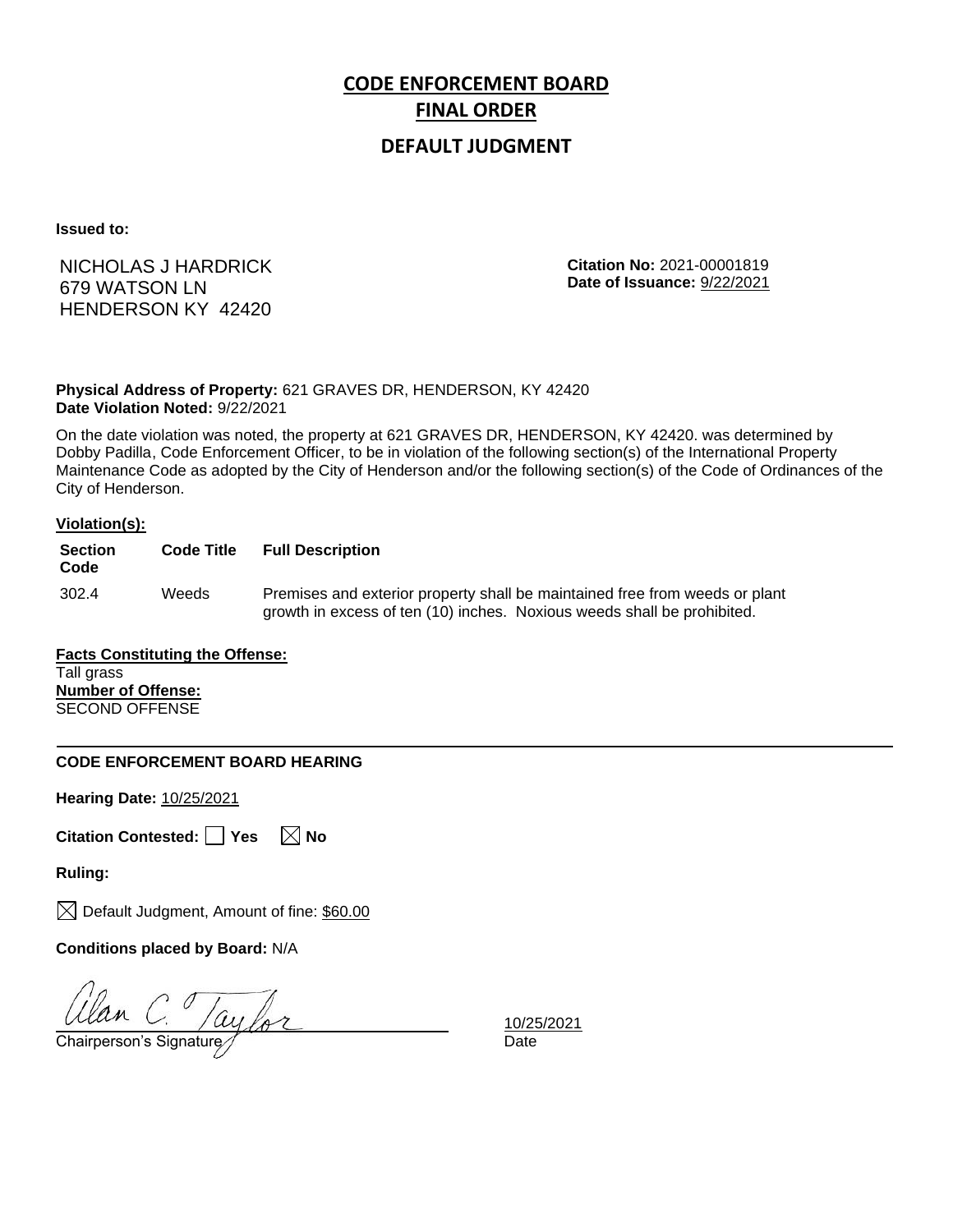## **DEFAULT JUDGMENT**

**Issued to:**

NICHOLAS J HARDRICK 679 WATSON LN HENDERSON KY 42420

**Citation No:** 2021-00001819 **Date of Issuance:** 9/22/2021

**Physical Address of Property:** 621 GRAVES DR, HENDERSON, KY 42420 **Date Violation Noted:** 9/22/2021

On the date violation was noted, the property at 621 GRAVES DR, HENDERSON, KY 42420. was determined by Dobby Padilla, Code Enforcement Officer, to be in violation of the following section(s) of the International Property Maintenance Code as adopted by the City of Henderson and/or the following section(s) of the Code of Ordinances of the City of Henderson.

#### **Violation(s):**

| <b>Section</b><br>Code | <b>Code Title</b> | <b>Full Description</b>                                                                                                                                |
|------------------------|-------------------|--------------------------------------------------------------------------------------------------------------------------------------------------------|
| 302.4                  | Weeds             | Premises and exterior property shall be maintained free from weeds or plant<br>growth in excess of ten (10) inches. Noxious weeds shall be prohibited. |

**Facts Constituting the Offense:** Tall grass **Number of Offense:** SECOND OFFENSE

### **CODE ENFORCEMENT BOARD HEARING**

**Hearing Date:** 10/25/2021

**Citation Contested:** Yes  $\boxtimes$  No

**Ruling:**

 $\boxtimes$  Default Judgment, Amount of fine: \$60.00

**Conditions placed by Board:** N/A

 $\frac{d}{d}$ C.  $\frac{10}{25}$ <br>Chairperson's Signature  $\frac{10}{25}$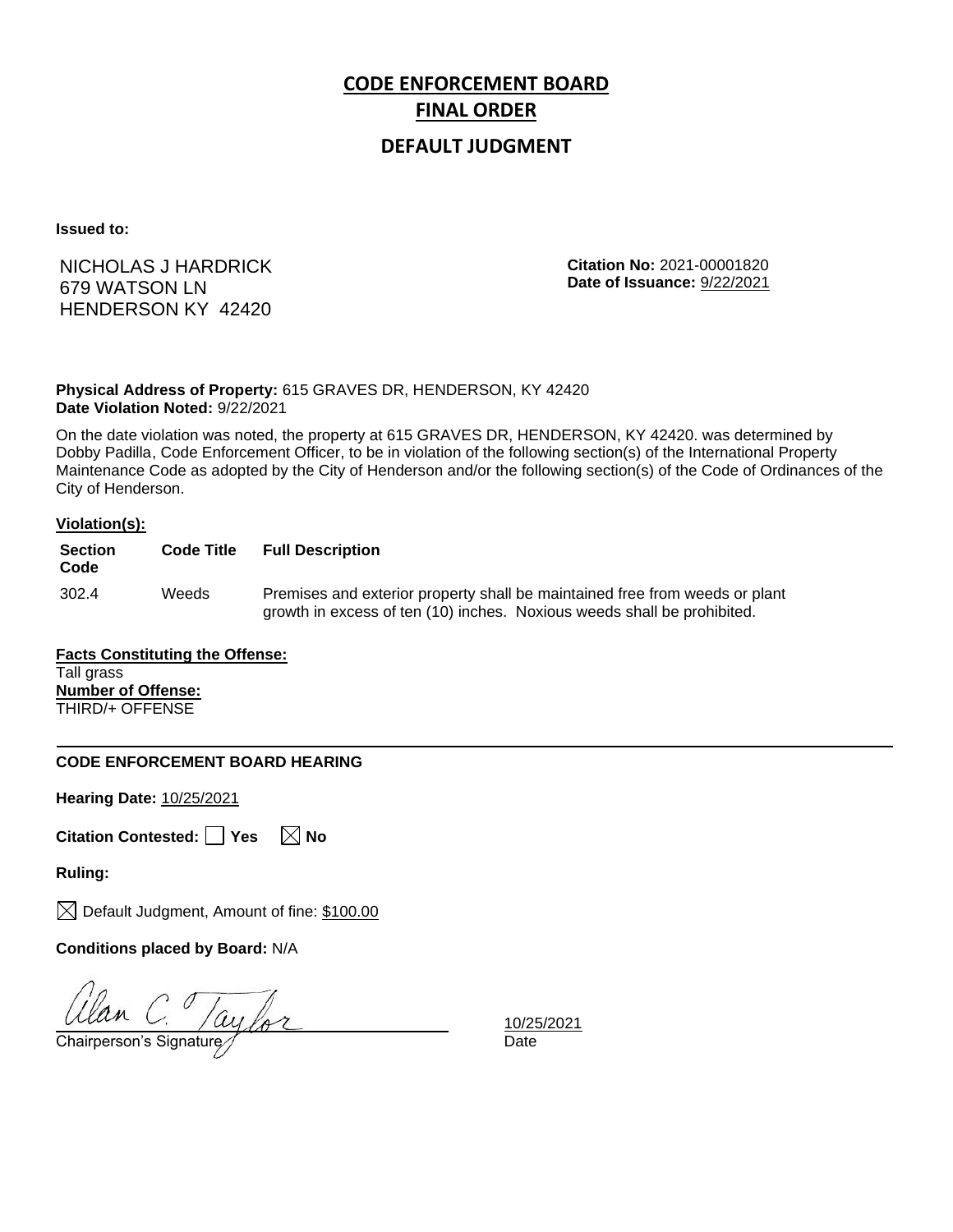## **DEFAULT JUDGMENT**

**Issued to:**

NICHOLAS J HARDRICK 679 WATSON LN HENDERSON KY 42420

**Citation No:** 2021-00001820 **Date of Issuance:** 9/22/2021

### **Physical Address of Property:** 615 GRAVES DR, HENDERSON, KY 42420 **Date Violation Noted:** 9/22/2021

On the date violation was noted, the property at 615 GRAVES DR, HENDERSON, KY 42420. was determined by Dobby Padilla, Code Enforcement Officer, to be in violation of the following section(s) of the International Property Maintenance Code as adopted by the City of Henderson and/or the following section(s) of the Code of Ordinances of the City of Henderson.

### **Violation(s):**

| <b>Section</b><br>Code | <b>Code Title</b> | <b>Full Description</b>                                                                                                                                |
|------------------------|-------------------|--------------------------------------------------------------------------------------------------------------------------------------------------------|
| 302.4                  | Weeds             | Premises and exterior property shall be maintained free from weeds or plant<br>growth in excess of ten (10) inches. Noxious weeds shall be prohibited. |

#### **Facts Constituting the Offense:** Tall grass **Number of Offense:** THIRD/+ OFFENSE

### **CODE ENFORCEMENT BOARD HEARING**

**Hearing Date:** 10/25/2021

|  | Citation Contested: Yes |  |  | $\boxtimes$ No |  |
|--|-------------------------|--|--|----------------|--|
|--|-------------------------|--|--|----------------|--|

**Ruling:**

 $\boxtimes$  Default Judgment, Amount of fine: \$100.00

**Conditions placed by Board:** N/A

Ulan C. Taylor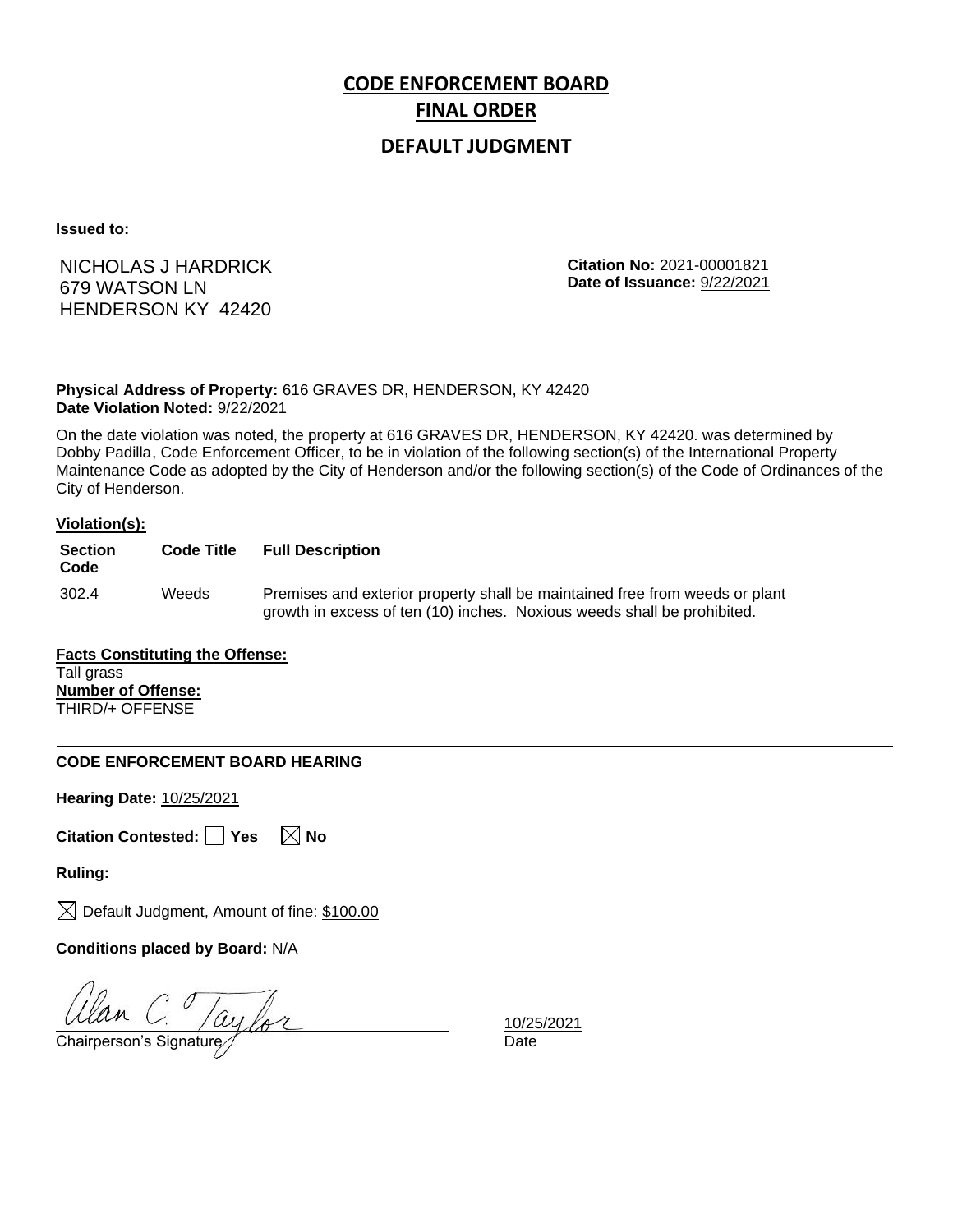## **DEFAULT JUDGMENT**

**Issued to:**

NICHOLAS J HARDRICK 679 WATSON LN HENDERSON KY 42420

**Citation No:** 2021-00001821 **Date of Issuance:** 9/22/2021

### **Physical Address of Property:** 616 GRAVES DR, HENDERSON, KY 42420 **Date Violation Noted:** 9/22/2021

On the date violation was noted, the property at 616 GRAVES DR, HENDERSON, KY 42420. was determined by Dobby Padilla, Code Enforcement Officer, to be in violation of the following section(s) of the International Property Maintenance Code as adopted by the City of Henderson and/or the following section(s) of the Code of Ordinances of the City of Henderson.

### **Violation(s):**

| <b>Section</b><br>Code | <b>Code Title</b> | <b>Full Description</b>                                                                                                                                |
|------------------------|-------------------|--------------------------------------------------------------------------------------------------------------------------------------------------------|
| 302.4                  | Weeds             | Premises and exterior property shall be maintained free from weeds or plant<br>growth in excess of ten (10) inches. Noxious weeds shall be prohibited. |

#### **Facts Constituting the Offense:** Tall grass **Number of Offense:** THIRD/+ OFFENSE

### **CODE ENFORCEMENT BOARD HEARING**

**Hearing Date:** 10/25/2021

|  | Citation Contested: Yes |  |  | $\boxtimes$ No |  |
|--|-------------------------|--|--|----------------|--|
|--|-------------------------|--|--|----------------|--|

**Ruling:**

 $\boxtimes$  Default Judgment, Amount of fine: \$100.00

**Conditions placed by Board:** N/A

Ulan C. Taylor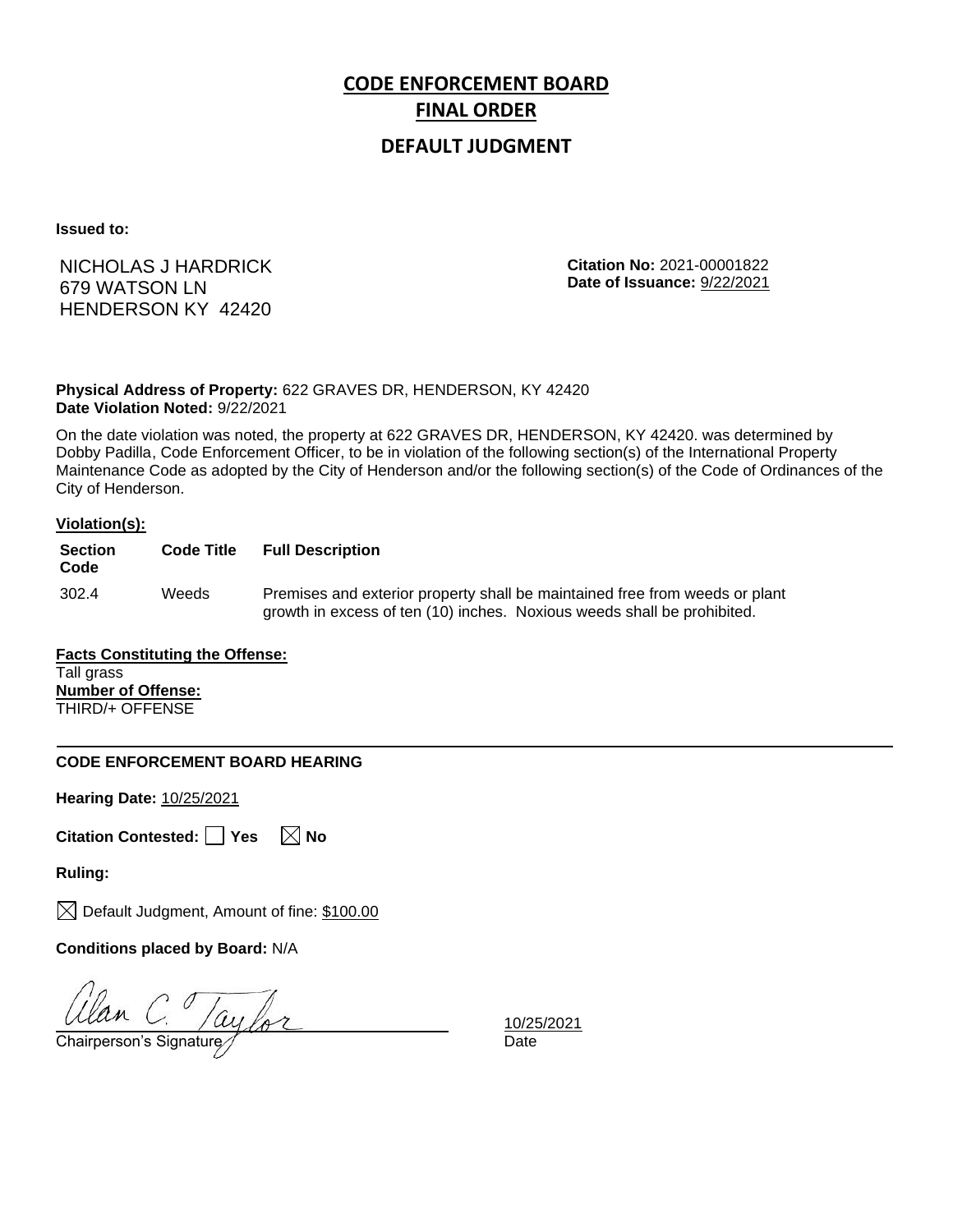## **DEFAULT JUDGMENT**

**Issued to:**

NICHOLAS J HARDRICK 679 WATSON LN HENDERSON KY 42420

**Citation No:** 2021-00001822 **Date of Issuance:** 9/22/2021

### **Physical Address of Property:** 622 GRAVES DR, HENDERSON, KY 42420 **Date Violation Noted:** 9/22/2021

On the date violation was noted, the property at 622 GRAVES DR, HENDERSON, KY 42420. was determined by Dobby Padilla, Code Enforcement Officer, to be in violation of the following section(s) of the International Property Maintenance Code as adopted by the City of Henderson and/or the following section(s) of the Code of Ordinances of the City of Henderson.

### **Violation(s):**

| <b>Section</b><br>Code | <b>Code Title</b> | <b>Full Description</b>                                                                                                                                |
|------------------------|-------------------|--------------------------------------------------------------------------------------------------------------------------------------------------------|
| 302.4                  | Weeds             | Premises and exterior property shall be maintained free from weeds or plant<br>growth in excess of ten (10) inches. Noxious weeds shall be prohibited. |

#### **Facts Constituting the Offense:** Tall grass **Number of Offense:** THIRD/+ OFFENSE

### **CODE ENFORCEMENT BOARD HEARING**

**Hearing Date:** 10/25/2021

|  | Citation Contested: Yes |  |  | $\boxtimes$ No |  |
|--|-------------------------|--|--|----------------|--|
|--|-------------------------|--|--|----------------|--|

**Ruling:**

 $\boxtimes$  Default Judgment, Amount of fine: \$100.00

**Conditions placed by Board:** N/A

Ulan C. Taylor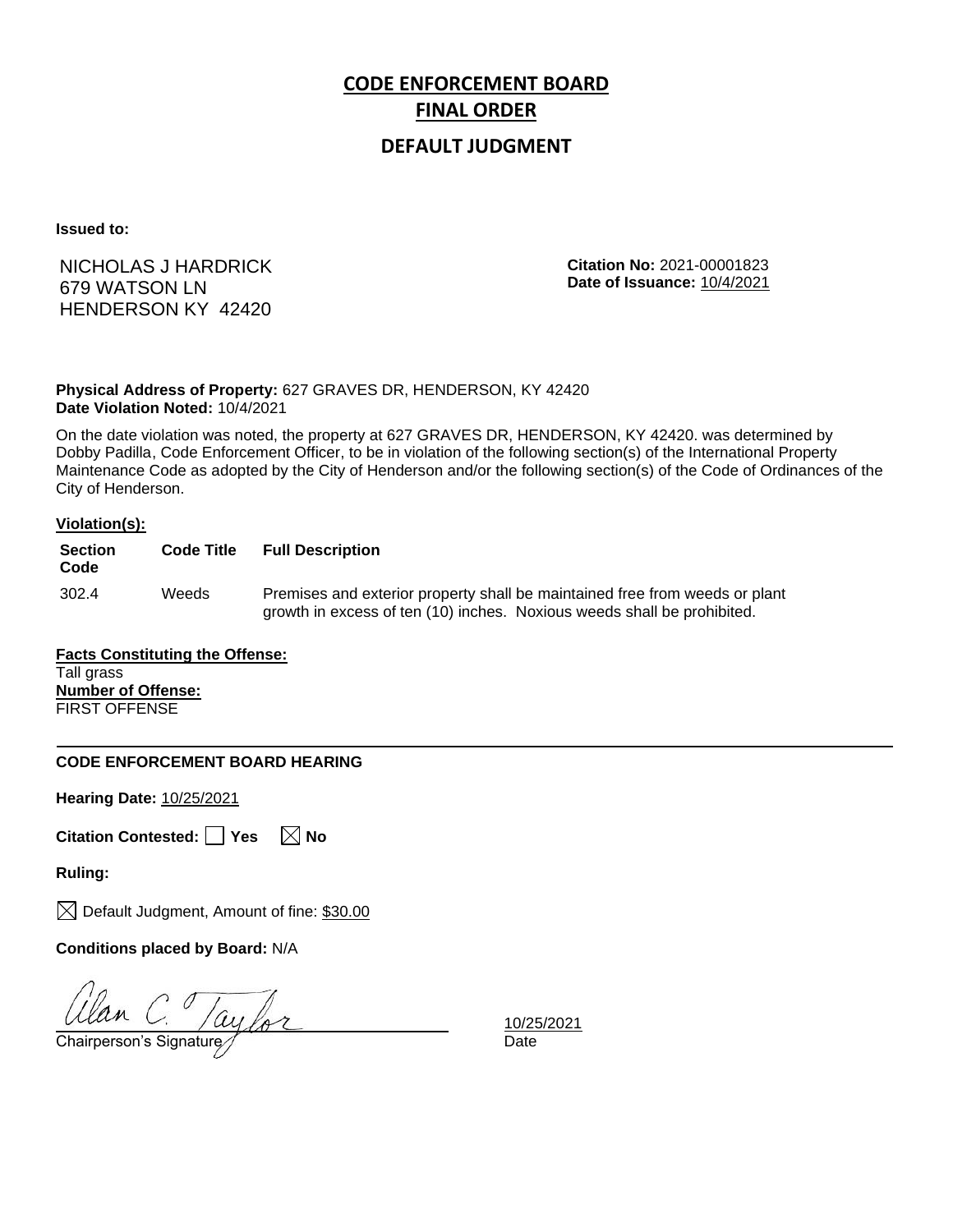## **DEFAULT JUDGMENT**

**Issued to:**

NICHOLAS J HARDRICK 679 WATSON LN HENDERSON KY 42420

**Citation No:** 2021-00001823 **Date of Issuance:** 10/4/2021

**Physical Address of Property:** 627 GRAVES DR, HENDERSON, KY 42420 **Date Violation Noted:** 10/4/2021

On the date violation was noted, the property at 627 GRAVES DR, HENDERSON, KY 42420. was determined by Dobby Padilla, Code Enforcement Officer, to be in violation of the following section(s) of the International Property Maintenance Code as adopted by the City of Henderson and/or the following section(s) of the Code of Ordinances of the City of Henderson.

#### **Violation(s):**

| <b>Section</b><br>Code | <b>Code Title</b> | <b>Full Description</b>                                                                                                                                |
|------------------------|-------------------|--------------------------------------------------------------------------------------------------------------------------------------------------------|
| 302.4                  | Weeds             | Premises and exterior property shall be maintained free from weeds or plant<br>growth in excess of ten (10) inches. Noxious weeds shall be prohibited. |

**Facts Constituting the Offense:** Tall grass **Number of Offense:** FIRST OFFENSE

### **CODE ENFORCEMENT BOARD HEARING**

**Hearing Date:** 10/25/2021

**Citation Contested:** Yes  $\boxtimes$  No

**Ruling:**

 $\boxtimes$  Default Judgment, Amount of fine: \$30.00

**Conditions placed by Board:** N/A

Ulan C. Taylor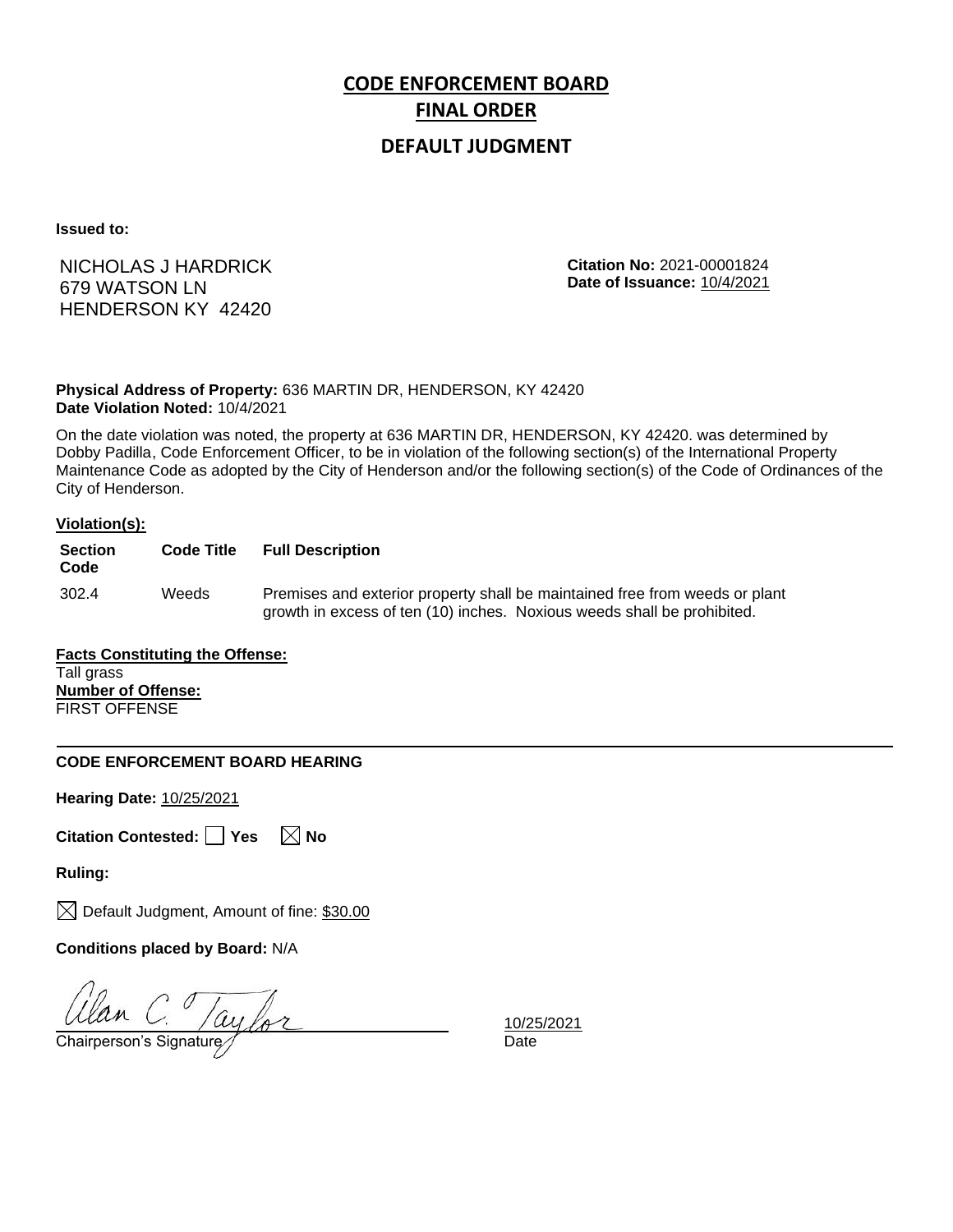## **DEFAULT JUDGMENT**

**Issued to:**

NICHOLAS J HARDRICK 679 WATSON LN HENDERSON KY 42420

**Citation No:** 2021-00001824 **Date of Issuance:** 10/4/2021

### **Physical Address of Property:** 636 MARTIN DR, HENDERSON, KY 42420 **Date Violation Noted:** 10/4/2021

On the date violation was noted, the property at 636 MARTIN DR, HENDERSON, KY 42420. was determined by Dobby Padilla, Code Enforcement Officer, to be in violation of the following section(s) of the International Property Maintenance Code as adopted by the City of Henderson and/or the following section(s) of the Code of Ordinances of the City of Henderson.

### **Violation(s):**

| <b>Section</b><br>Code | <b>Code Title</b> | <b>Full Description</b>                                                                                                                                |
|------------------------|-------------------|--------------------------------------------------------------------------------------------------------------------------------------------------------|
| 302.4                  | Weeds             | Premises and exterior property shall be maintained free from weeds or plant<br>growth in excess of ten (10) inches. Noxious weeds shall be prohibited. |

### **Facts Constituting the Offense:** Tall grass **Number of Offense:** FIRST OFFENSE

### **CODE ENFORCEMENT BOARD HEARING**

**Hearing Date:** 10/25/2021

|  | Citation Contested: Yes |  |  | $\boxtimes$ No |  |
|--|-------------------------|--|--|----------------|--|
|--|-------------------------|--|--|----------------|--|

**Ruling:**

 $\boxtimes$  Default Judgment, Amount of fine: \$30.00

**Conditions placed by Board:** N/A

Ulan C. Taylor